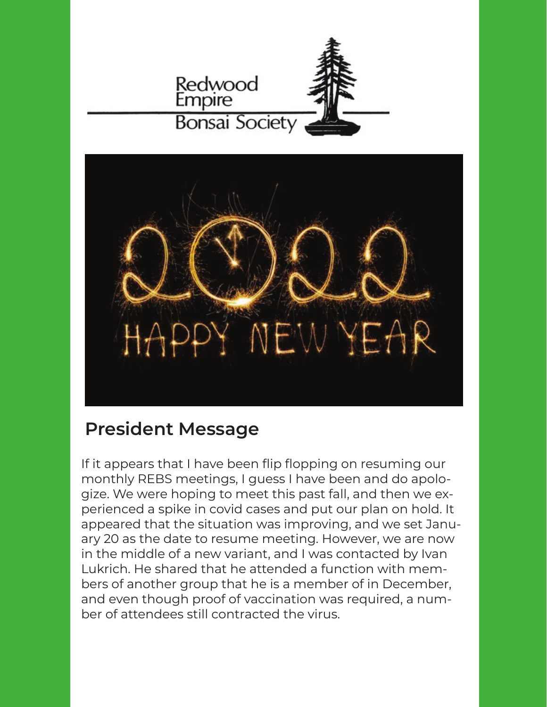



## **President Message**

If it appears that I have been flip flopping on resuming our monthly REBS meetings, I guess I have been and do apologize. We were hoping to meet this past fall, and then we experienced a spike in covid cases and put our plan on hold. It appeared that the situation was improving, and we set January 20 as the date to resume meeting. However, we are now in the middle of a new variant, and I was contacted by Ivan Lukrich. He shared that he attended a function with members of another group that he is a member of in December, and even though proof of vaccination was required, a number of attendees still contracted the virus.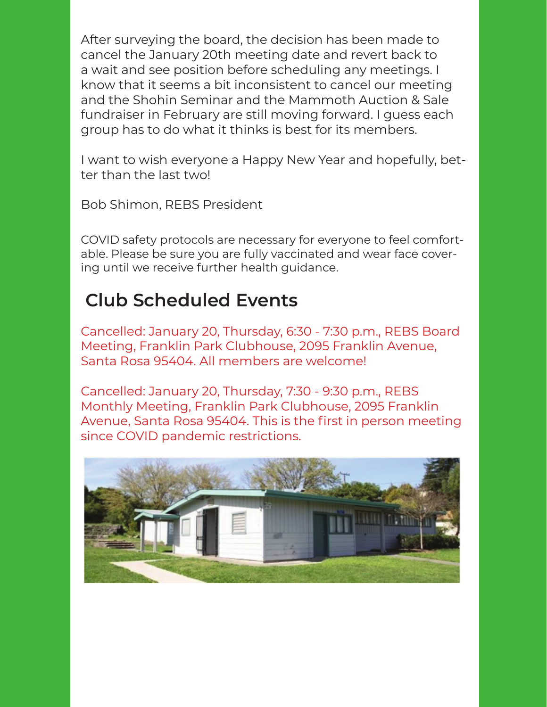After surveying the board, the decision has been made to cancel the January 20th meeting date and revert back to a wait and see position before scheduling any meetings. I know that it seems a bit inconsistent to cancel our meeting and the Shohin Seminar and the Mammoth Auction & Sale fundraiser in February are still moving forward. I guess each group has to do what it thinks is best for its members.

I want to wish everyone a Happy New Year and hopefully, better than the last two!

Bob Shimon, REBS President

COVID safety protocols are necessary for everyone to feel comfortable. Please be sure you are fully vaccinated and wear face covering until we receive further health guidance.

# **Club Scheduled Events**

Cancelled: January 20, Thursday, 6:30 - 7:30 p.m., REBS Board Meeting, Franklin Park Clubhouse, 2095 Franklin Avenue, Santa Rosa 95404. All members are welcome!

Cancelled: January 20, Thursday, 7:30 - 9:30 p.m., REBS Monthly Meeting, Franklin Park Clubhouse, 2095 Franklin Avenue, Santa Rosa 95404. This is the first in person meeting since COVID pandemic restrictions.

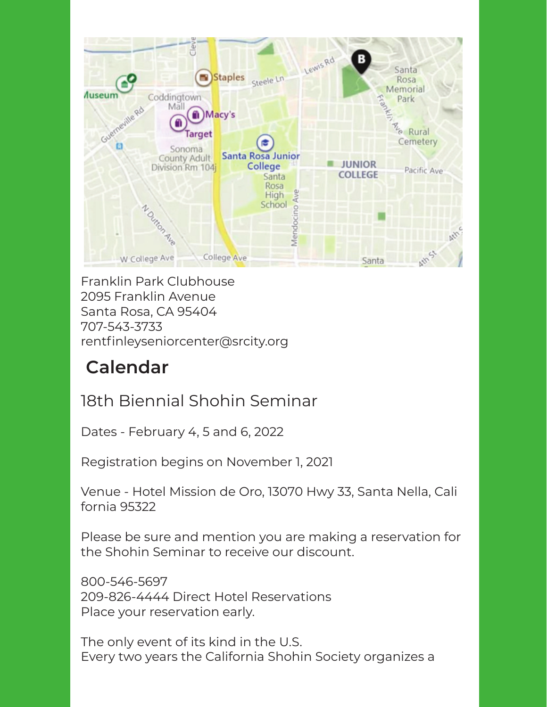

Franklin Park Clubhouse 2095 Franklin Avenue Santa Rosa, CA 95404 707-543-3733 rentfinleyseniorcenter@srcity.org

# **Calendar**

## 18th Biennial Shohin Seminar

Dates - February 4, 5 and 6, 2022

Registration begins on November 1, 2021

Venue - Hotel Mission de Oro, 13070 Hwy 33, Santa Nella, Cali fornia 95322

Please be sure and mention you are making a reservation for the Shohin Seminar to receive our discount.

800-546-5697 209-826-4444 Direct Hotel Reservations Place your reservation early.

The only event of its kind in the U.S. Every two years the California Shohin Society organizes a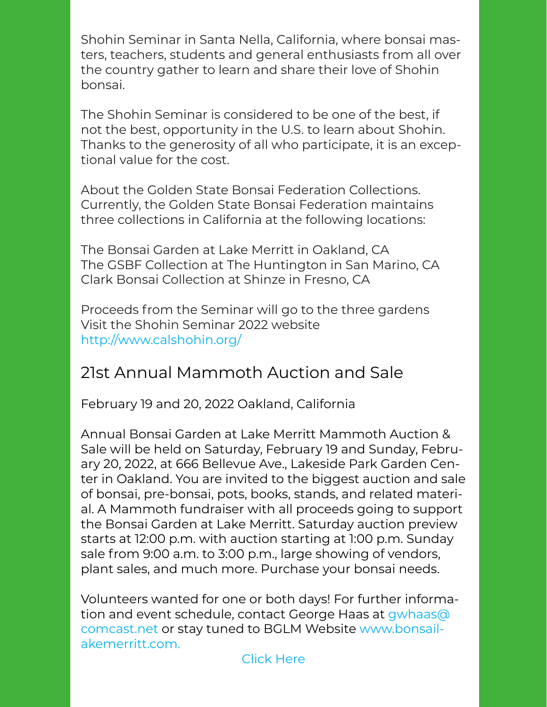Shohin Seminar in Santa Nella, California, where bonsai masters, teachers, students and general enthusiasts from all over the country gather to learn and share their love of Shohin bonsai.

The Shohin Seminar is considered to be one of the best, if not the best, opportunity in the U.S. to learn about Shohin. Thanks to the generosity of all who participate, it is an exceptional value for the cost.

About the Golden State Bonsai Federation Collections. Currently, the Golden State Bonsai Federation maintains three collections in California at the following locations:

The Bonsai Garden at Lake Merritt in Oakland, CA The GSBF Collection at The Huntington in San Marino, CA Clark Bonsai Collection at Shinze in Fresno, CA

Proceeds from the Seminar will go to the three gardens Visit the Shohin Seminar 2022 website http://www.calshohin.org/

### 21st Annual Mammoth Auction and Sale

February 19 and 20, 2022 Oakland, California

Annual Bonsai Garden at Lake Merritt Mammoth Auction & Sale will be held on Saturday, February 19 and Sunday, February 20, 2022, at 666 Bellevue Ave., Lakeside Park Garden Center in Oakland. You are invited to the biggest auction and sale of bonsai, pre-bonsai, pots, books, stands, and related material. A Mammoth fundraiser with all proceeds going to support the Bonsai Garden at Lake Merritt. Saturday auction preview starts at 12:00 p.m. with auction starting at 1:00 p.m. Sunday sale from 9:00 a.m. to 3:00 p.m., large showing of vendors, plant sales, and much more. Purchase your bonsai needs.

Volunteers wanted for one or both days! For further information and event schedule, contact George Haas at gwhaas@ comcast.net or stay tuned to BGLM Website www.bonsailakemerritt.com.

#### Click Here